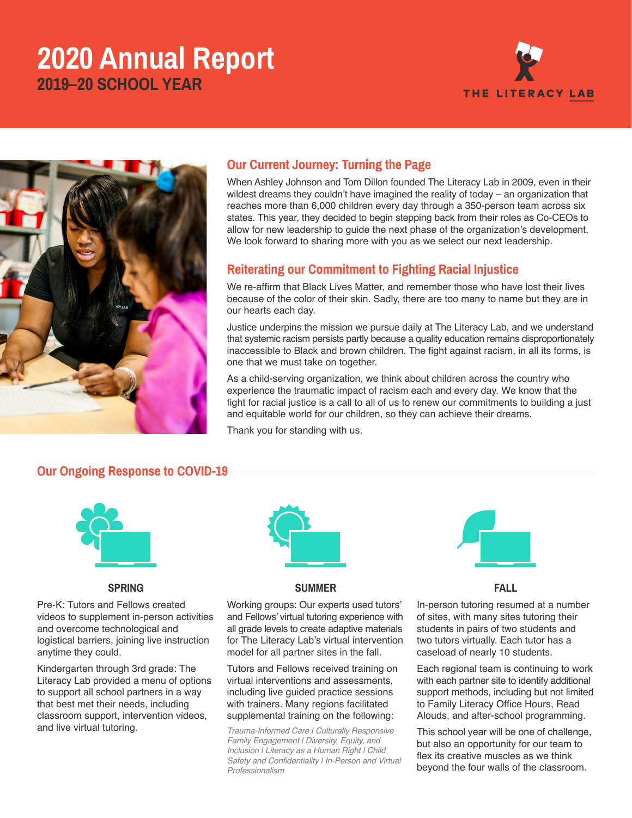# **2020 Annual Report 2019–20 SCHOOL YEAR**





# **Our Current Journey: Turning the Page**

When Ashley Johnson and Tom Dillon founded The Literacy Lab in 2009, even in their wildest dreams they couldn't have imagined the reality of today – an organization that reaches more than 6,000 children every day through a 350-person team across six states. This year, they decided to begin stepping back from their roles as Co-CEOs to allow for new leadership to guide the next phase of the organization's development. We look forward to sharing more with you as we select our next leadership.

#### **Reiterating our Commitment to Fighting Racial Injustice**

We re-affirm that Black Lives Matter, and remember those who have lost their lives because of the color of their skin. Sadly, there are too many to name but they are in our hearts each day.

Justice underpins the mission we pursue daily at The Literacy Lab, and we understand that systemic racism persists partly because a quality education remains disproportionately inaccessible to Black and brown children. The fight against racism, in all its forms, is one that we must take on together.

As a child-serving organization, we think about children across the country who experience the traumatic impact of racism each and every day. We know that the fight for racial justice is a call to all of us to renew our commitments to building a just and equitable world for our children, so they can achieve their dreams.

Thank you for standing with us.

## **Our Ongoing Response to COVID-19**



#### **SPRING**

Pre-K: Tutors and Fellows created videos to supplement in-person activities and overcome technological and logistical barriers, joining live instruction anytime they could.

Kindergarten through 3rd grade: The Literacy Lab provided a menu of options to support all school partners in a way that best met their needs, including classroom support, intervention videos, and live virtual tutoring.



#### **SUMMER**

Working groups: Our experts used tutors' and Fellows' virtual tutoring experience with all grade levels to create adaptive materials for The Literacy Lab's virtual intervention model for all partner sites in the fall.

Tutors and Fellows received training on virtual interventions and assessments, including live guided practice sessions with trainers. Many regions facilitated supplemental training on the following:

*Trauma-Informed Care | Culturally Responsive Family Engagement | Diversity, Equity, and Inclusion | Literacy as a Human Right | Child*  **Safety and Confidentiality I In-Person and Virtual** Professionalism



**FALL**

In-person tutoring resumed at a number of sites, with many sites tutoring their students in pairs of two students and two tutors virtually. Each tutor has a caseload of nearly 10 students.

Each regional team is continuing to work with each partner site to identify additional support methods, including but not limited to Family Literacy Office Hours, Read Alouds, and after-school programming.

This school year will be one of challenge, but also an opportunity for our team to flex its creative muscles as we think beyond the four walls of the classroom.